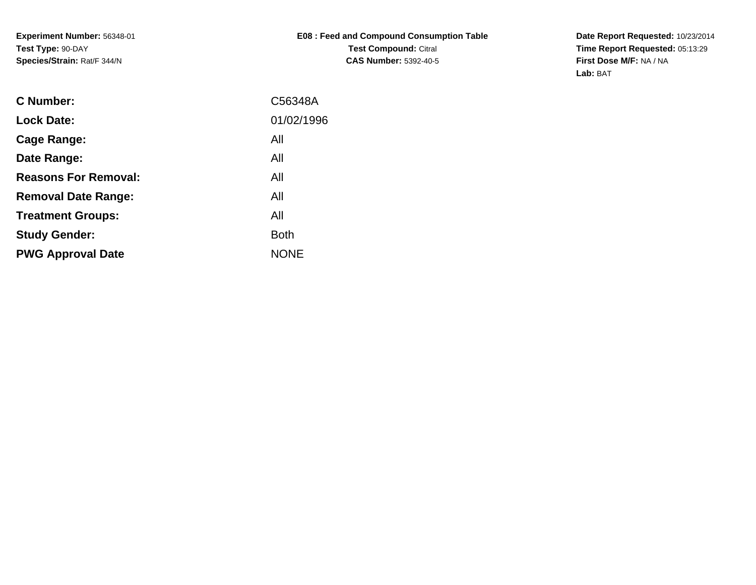**Experiment Number:** 56348-01**Test Type:** 90-DAY**Species/Strain:** Rat/F 344/N

**Date Report Requested:** 10/23/2014 **Time Report Requested:** 05:13:29**First Dose M/F:** NA / NA**Lab:** BAT

| <b>C</b> Number:            | C56348A     |
|-----------------------------|-------------|
| <b>Lock Date:</b>           | 01/02/1996  |
| Cage Range:                 | All         |
| Date Range:                 | All         |
| <b>Reasons For Removal:</b> | All         |
| <b>Removal Date Range:</b>  | All         |
| <b>Treatment Groups:</b>    | All         |
| <b>Study Gender:</b>        | <b>Both</b> |
| <b>PWG Approval Date</b>    | <b>NONE</b> |
|                             |             |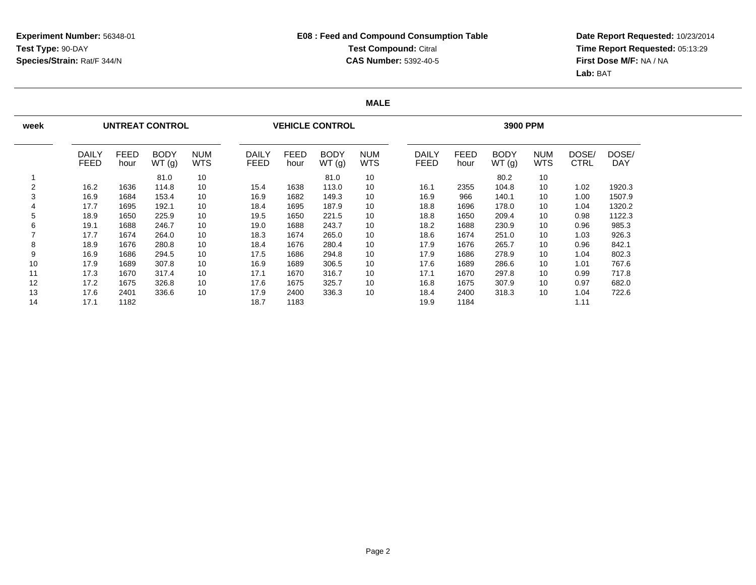**Date Report Requested:** 10/23/2014 **Time Report Requested:** 05:13:29**First Dose M/F:** NA / NA**Lab:** BAT

### **MALE**

| week |                      |                     | <b>UNTREAT CONTROL</b> |                          |                             |                     | <b>VEHICLE CONTROL</b> |                          |                      |                     | 3900 PPM             |                   |                      |              |
|------|----------------------|---------------------|------------------------|--------------------------|-----------------------------|---------------------|------------------------|--------------------------|----------------------|---------------------|----------------------|-------------------|----------------------|--------------|
|      | DAILY<br><b>FEED</b> | <b>FEED</b><br>hour | <b>BODY</b><br>WT(g)   | <b>NUM</b><br><b>WTS</b> | <b>DAILY</b><br><b>FEED</b> | <b>FEED</b><br>hour | <b>BODY</b><br>WT(g)   | <b>NUM</b><br><b>WTS</b> | DAILY<br><b>FEED</b> | <b>FEED</b><br>hour | <b>BODY</b><br>WT(g) | <b>NUM</b><br>WTS | DOSE/<br><b>CTRL</b> | DOSE/<br>DAY |
|      |                      |                     | 81.0                   | 10                       |                             |                     | 81.0                   | 10                       |                      |                     | 80.2                 | 10                |                      |              |
| 2    | 16.2                 | 1636                | 114.8                  | 10                       | 15.4                        | 1638                | 113.0                  | 10                       | 16.1                 | 2355                | 104.8                | 10                | 1.02                 | 1920.3       |
| 3    | 16.9                 | 1684                | 153.4                  | 10                       | 16.9                        | 1682                | 149.3                  | 10                       | 16.9                 | 966                 | 140.1                | 10                | 1.00                 | 1507.9       |
| 4    | 17.7                 | 1695                | 192.1                  | 10                       | 18.4                        | 1695                | 187.9                  | 10                       | 18.8                 | 1696                | 178.0                | 10                | 1.04                 | 1320.2       |
| 5    | 18.9                 | 1650                | 225.9                  | 10                       | 19.5                        | 1650                | 221.5                  | 10                       | 18.8                 | 1650                | 209.4                | 10                | 0.98                 | 1122.3       |
| 6    | 19.1                 | 1688                | 246.7                  | 10                       | 19.0                        | 1688                | 243.7                  | 10                       | 18.2                 | 1688                | 230.9                | 10                | 0.96                 | 985.3        |
|      | 17.7                 | 1674                | 264.0                  | 10                       | 18.3                        | 1674                | 265.0                  | 10                       | 18.6                 | 1674                | 251.0                | 10                | 1.03                 | 926.3        |
| 8    | 18.9                 | 1676                | 280.8                  | 10                       | 18.4                        | 1676                | 280.4                  | 10                       | 17.9                 | 1676                | 265.7                | 10                | 0.96                 | 842.1        |
| 9    | 16.9                 | 1686                | 294.5                  | 10                       | 17.5                        | 1686                | 294.8                  | 10                       | 17.9                 | 1686                | 278.9                | 10                | 1.04                 | 802.3        |
| 10   | 17.9                 | 1689                | 307.8                  | 10                       | 16.9                        | 1689                | 306.5                  | 10                       | 17.6                 | 1689                | 286.6                | 10                | 1.01                 | 767.6        |
| 11   | 17.3                 | 1670                | 317.4                  | 10                       | 17.1                        | 1670                | 316.7                  | 10                       | 17.1                 | 1670                | 297.8                | 10                | 0.99                 | 717.8        |
| 12   | 17.2                 | 1675                | 326.8                  | 10                       | 17.6                        | 1675                | 325.7                  | 10                       | 16.8                 | 1675                | 307.9                | 10                | 0.97                 | 682.0        |
| 13   | 17.6                 | 2401                | 336.6                  | 10                       | 17.9                        | 2400                | 336.3                  | 10                       | 18.4                 | 2400                | 318.3                | 10                | 1.04                 | 722.6        |
| 14   | 17.1                 | 1182                |                        |                          | 18.7                        | 1183                |                        |                          | 19.9                 | 1184                |                      |                   | 1.11                 |              |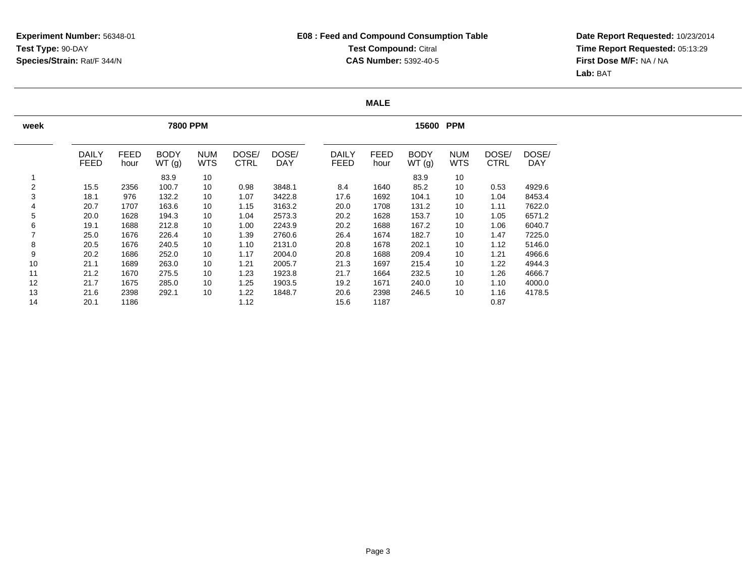**Date Report Requested:** 10/23/2014 **Time Report Requested:** 05:13:29**First Dose M/F:** NA / NA**Lab:** BAT

### **MALE**

| week |                             |                     | <b>7800 PPM</b>      |                          |                      |                     |                             |                     | 15600 PPM            |                          |                      |                     |
|------|-----------------------------|---------------------|----------------------|--------------------------|----------------------|---------------------|-----------------------------|---------------------|----------------------|--------------------------|----------------------|---------------------|
|      | <b>DAILY</b><br><b>FEED</b> | <b>FEED</b><br>hour | <b>BODY</b><br>WT(g) | <b>NUM</b><br><b>WTS</b> | DOSE/<br><b>CTRL</b> | DOSE/<br><b>DAY</b> | <b>DAILY</b><br><b>FEED</b> | <b>FEED</b><br>hour | <b>BODY</b><br>WT(g) | <b>NUM</b><br><b>WTS</b> | DOSE/<br><b>CTRL</b> | DOSE/<br><b>DAY</b> |
|      |                             |                     | 83.9                 | 10                       |                      |                     |                             |                     | 83.9                 | 10                       |                      |                     |
| 2    | 15.5                        | 2356                | 100.7                | 10                       | 0.98                 | 3848.1              | 8.4                         | 1640                | 85.2                 | 10                       | 0.53                 | 4929.6              |
| 3    | 18.1                        | 976                 | 132.2                | 10                       | 1.07                 | 3422.8              | 17.6                        | 1692                | 104.1                | 10                       | 1.04                 | 8453.4              |
| 4    | 20.7                        | 1707                | 163.6                | 10                       | 1.15                 | 3163.2              | 20.0                        | 1708                | 131.2                | 10                       | 1.11                 | 7622.0              |
| 5    | 20.0                        | 1628                | 194.3                | 10                       | 1.04                 | 2573.3              | 20.2                        | 1628                | 153.7                | 10                       | 1.05                 | 6571.2              |
| 6    | 19.1                        | 1688                | 212.8                | 10                       | 1.00                 | 2243.9              | 20.2                        | 1688                | 167.2                | 10                       | 1.06                 | 6040.7              |
| 7    | 25.0                        | 1676                | 226.4                | 10                       | 1.39                 | 2760.6              | 26.4                        | 1674                | 182.7                | 10                       | 1.47                 | 7225.0              |
| 8    | 20.5                        | 1676                | 240.5                | 10                       | 1.10                 | 2131.0              | 20.8                        | 1678                | 202.1                | 10                       | 1.12                 | 5146.0              |
| 9    | 20.2                        | 1686                | 252.0                | 10                       | 1.17                 | 2004.0              | 20.8                        | 1688                | 209.4                | 10                       | 1.21                 | 4966.6              |
| 10   | 21.1                        | 1689                | 263.0                | 10                       | 1.21                 | 2005.7              | 21.3                        | 1697                | 215.4                | 10                       | 1.22                 | 4944.3              |
| 11   | 21.2                        | 1670                | 275.5                | 10                       | 1.23                 | 1923.8              | 21.7                        | 1664                | 232.5                | 10                       | 1.26                 | 4666.7              |
| 12   | 21.7                        | 1675                | 285.0                | 10                       | 1.25                 | 1903.5              | 19.2                        | 1671                | 240.0                | 10                       | 1.10                 | 4000.0              |
| 13   | 21.6                        | 2398                | 292.1                | 10                       | 1.22                 | 1848.7              | 20.6                        | 2398                | 246.5                | 10                       | 1.16                 | 4178.5              |
| 14   | 20.1                        | 1186                |                      |                          | 1.12                 |                     | 15.6                        | 1187                |                      |                          | 0.87                 |                     |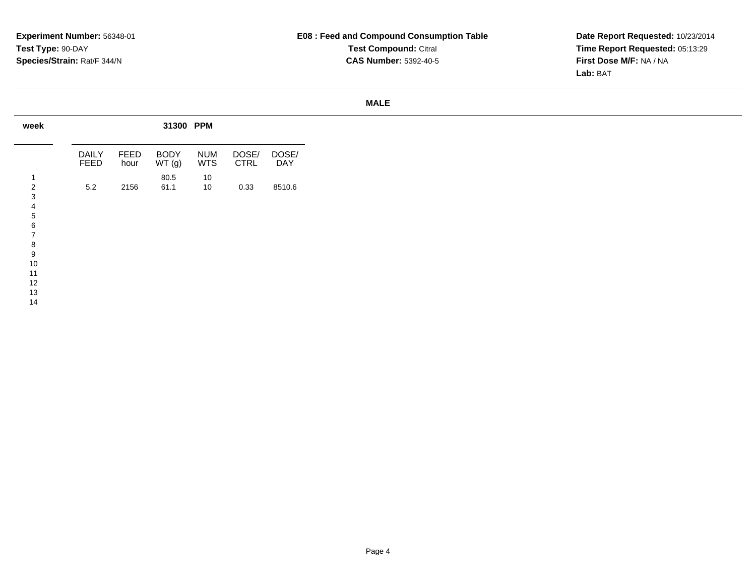**Date Report Requested:** 10/23/2014 **Time Report Requested:** 05:13:29**First Dose M/F:** NA / NA**Lab:** BAT

### **MALE**

| week |                      |              | 31300 PPM            |                          |                      |              |
|------|----------------------|--------------|----------------------|--------------------------|----------------------|--------------|
|      | <b>DAILY</b><br>FEED | FEED<br>hour | <b>BODY</b><br>WT(g) | <b>NUM</b><br><b>WTS</b> | DOSE/<br><b>CTRL</b> | DOSE/<br>DAY |
|      |                      |              | 80.5                 | 10                       |                      |              |
| ◠    | 5.2                  | 2156         | 61.1                 | 10                       | 0.33                 | 8510.6       |
|      |                      |              |                      |                          |                      |              |
|      |                      |              |                      |                          |                      |              |
|      |                      |              |                      |                          |                      |              |
|      |                      |              |                      |                          |                      |              |
|      |                      |              |                      |                          |                      |              |
| ਲ਼   |                      |              |                      |                          |                      |              |
| 9    |                      |              |                      |                          |                      |              |
| ΊU   |                      |              |                      |                          |                      |              |
| 11   |                      |              |                      |                          |                      |              |
| 12   |                      |              |                      |                          |                      |              |
| 14   |                      |              |                      |                          |                      |              |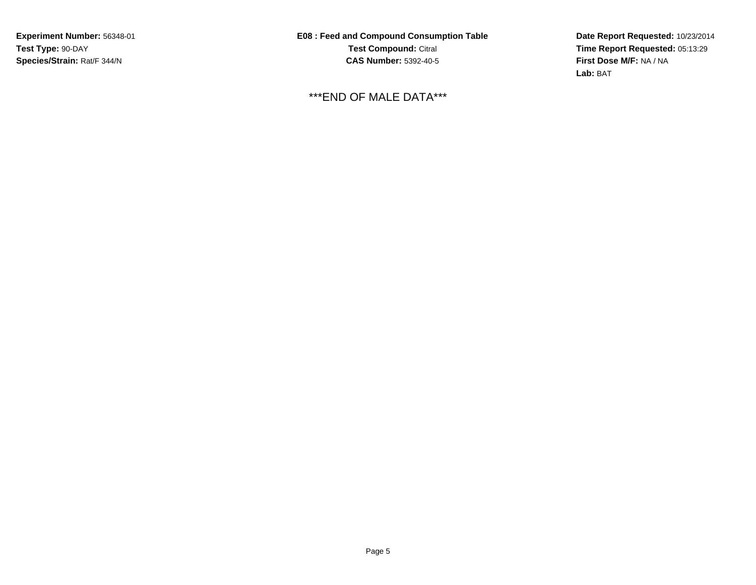**Experiment Number:** 56348-01**Test Type:** 90-DAY**Species/Strain:** Rat/F 344/N

**E08 : Feed and Compound Consumption TableTest Compound:** Citral **CAS Number:** 5392-40-5

\*\*\*END OF MALE DATA\*\*\*

**Date Report Requested:** 10/23/2014 **Time Report Requested:** 05:13:29**First Dose M/F:** NA / NA**Lab:** BAT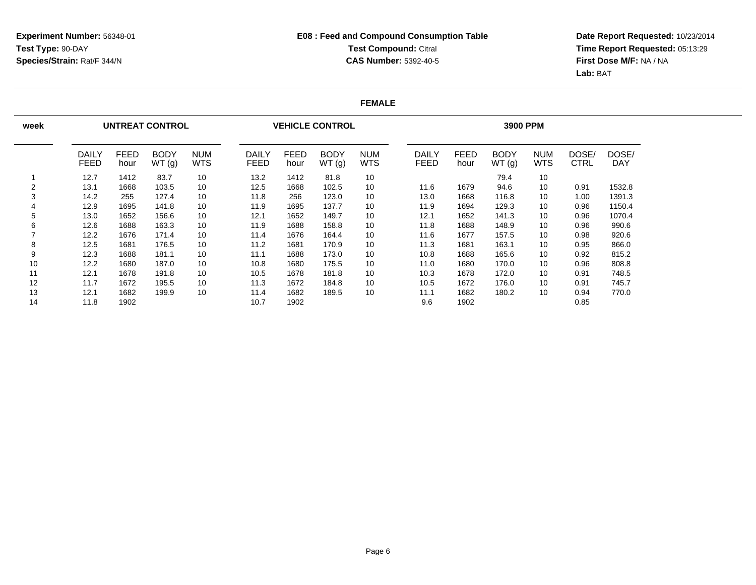**Date Report Requested:** 10/23/2014 **Time Report Requested:** 05:13:29**First Dose M/F:** NA / NA**Lab:** BAT

### **FEMALE**

| week |                      |                     | <b>UNTREAT CONTROL</b> |                          |                      |                     | <b>VEHICLE CONTROL</b> |                          |                             |                     | 3900 PPM             |                   |                      |              |
|------|----------------------|---------------------|------------------------|--------------------------|----------------------|---------------------|------------------------|--------------------------|-----------------------------|---------------------|----------------------|-------------------|----------------------|--------------|
|      | DAILY<br><b>FEED</b> | <b>FEED</b><br>hour | <b>BODY</b><br>WT(g)   | <b>NUM</b><br><b>WTS</b> | DAILY<br><b>FEED</b> | <b>FEED</b><br>hour | <b>BODY</b><br>WT(g)   | <b>NUM</b><br><b>WTS</b> | <b>DAILY</b><br><b>FEED</b> | <b>FEED</b><br>hour | <b>BODY</b><br>WT(g) | <b>NUM</b><br>WTS | DOSE/<br><b>CTRL</b> | DOSE/<br>DAY |
|      | 12.7                 | 1412                | 83.7                   | 10                       | 13.2                 | 1412                | 81.8                   | 10                       |                             |                     | 79.4                 | 10                |                      |              |
| 2    | 13.1                 | 1668                | 103.5                  | 10                       | 12.5                 | 1668                | 102.5                  | 10                       | 11.6                        | 1679                | 94.6                 | 10                | 0.91                 | 1532.8       |
| 3    | 14.2                 | 255                 | 127.4                  | 10                       | 11.8                 | 256                 | 123.0                  | 10                       | 13.0                        | 1668                | 116.8                | 10                | 1.00                 | 1391.3       |
| 4    | 12.9                 | 1695                | 141.8                  | 10                       | 11.9                 | 1695                | 137.7                  | 10                       | 11.9                        | 1694                | 129.3                | 10                | 0.96                 | 1150.4       |
| 5    | 13.0                 | 1652                | 156.6                  | 10                       | 12.1                 | 1652                | 149.7                  | 10                       | 12.1                        | 1652                | 141.3                | 10                | 0.96                 | 1070.4       |
| 6    | 12.6                 | 1688                | 163.3                  | 10                       | 11.9                 | 1688                | 158.8                  | 10                       | 11.8                        | 1688                | 148.9                | 10                | 0.96                 | 990.6        |
|      | 12.2                 | 1676                | 171.4                  | 10                       | 11.4                 | 1676                | 164.4                  | 10                       | 11.6                        | 1677                | 157.5                | 10                | 0.98                 | 920.6        |
| 8    | 12.5                 | 1681                | 176.5                  | 10                       | 11.2                 | 1681                | 170.9                  | 10                       | 11.3                        | 1681                | 163.1                | 10                | 0.95                 | 866.0        |
| 9    | 12.3                 | 1688                | 181.1                  | 10                       | 11.1                 | 1688                | 173.0                  | 10                       | 10.8                        | 1688                | 165.6                | 10                | 0.92                 | 815.2        |
| 10   | 12.2                 | 1680                | 187.0                  | 10                       | 10.8                 | 1680                | 175.5                  | 10                       | 11.0                        | 1680                | 170.0                | 10                | 0.96                 | 808.8        |
| 11   | 12.1                 | 1678                | 191.8                  | 10                       | 10.5                 | 1678                | 181.8                  | 10                       | 10.3                        | 1678                | 172.0                | 10                | 0.91                 | 748.5        |
| 12   | 11.7                 | 1672                | 195.5                  | 10                       | 11.3                 | 1672                | 184.8                  | 10                       | 10.5                        | 1672                | 176.0                | 10                | 0.91                 | 745.7        |
| 13   | 12.1                 | 1682                | 199.9                  | 10                       | 11.4                 | 1682                | 189.5                  | 10                       | 11.1                        | 1682                | 180.2                | 10                | 0.94                 | 770.0        |
| 14   | 11.8                 | 1902                |                        |                          | 10.7                 | 1902                |                        |                          | 9.6                         | 1902                |                      |                   | 0.85                 |              |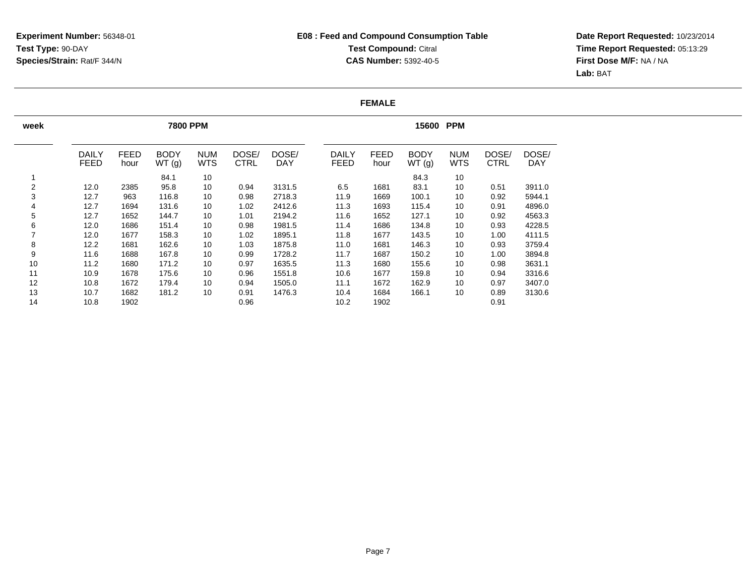**Date Report Requested:** 10/23/2014 **Time Report Requested:** 05:13:29**First Dose M/F:** NA / NA**Lab:** BAT

### **FEMALE**

| week |                             |                     | <b>7800 PPM</b>      |                          |                      |                     |                             |                     | 15600 PPM            |                          |                      |                     |
|------|-----------------------------|---------------------|----------------------|--------------------------|----------------------|---------------------|-----------------------------|---------------------|----------------------|--------------------------|----------------------|---------------------|
|      | <b>DAILY</b><br><b>FEED</b> | <b>FEED</b><br>hour | <b>BODY</b><br>WT(g) | <b>NUM</b><br><b>WTS</b> | DOSE/<br><b>CTRL</b> | DOSE/<br><b>DAY</b> | <b>DAILY</b><br><b>FEED</b> | <b>FEED</b><br>hour | <b>BODY</b><br>WT(g) | <b>NUM</b><br><b>WTS</b> | DOSE/<br><b>CTRL</b> | DOSE/<br><b>DAY</b> |
|      |                             |                     | 84.1                 | 10                       |                      |                     |                             |                     | 84.3                 | 10                       |                      |                     |
| 2    | 12.0                        | 2385                | 95.8                 | 10                       | 0.94                 | 3131.5              | 6.5                         | 1681                | 83.1                 | 10                       | 0.51                 | 3911.0              |
| 3    | 12.7                        | 963                 | 116.8                | 10                       | 0.98                 | 2718.3              | 11.9                        | 1669                | 100.1                | 10                       | 0.92                 | 5944.1              |
| 4    | 12.7                        | 1694                | 131.6                | 10                       | 1.02                 | 2412.6              | 11.3                        | 1693                | 115.4                | 10                       | 0.91                 | 4896.0              |
| 5    | 12.7                        | 1652                | 144.7                | 10                       | 1.01                 | 2194.2              | 11.6                        | 1652                | 127.1                | 10                       | 0.92                 | 4563.3              |
| 6    | 12.0                        | 1686                | 151.4                | 10                       | 0.98                 | 1981.5              | 11.4                        | 1686                | 134.8                | 10                       | 0.93                 | 4228.5              |
|      | 12.0                        | 1677                | 158.3                | 10                       | 1.02                 | 1895.1              | 11.8                        | 1677                | 143.5                | 10                       | 1.00                 | 4111.5              |
| 8    | 12.2                        | 1681                | 162.6                | 10                       | 1.03                 | 1875.8              | 11.0                        | 1681                | 146.3                | 10                       | 0.93                 | 3759.4              |
| 9    | 11.6                        | 1688                | 167.8                | 10                       | 0.99                 | 1728.2              | 11.7                        | 1687                | 150.2                | 10                       | 1.00                 | 3894.8              |
| 10   | 11.2                        | 1680                | 171.2                | 10                       | 0.97                 | 1635.5              | 11.3                        | 1680                | 155.6                | 10                       | 0.98                 | 3631.1              |
| 11   | 10.9                        | 1678                | 175.6                | 10                       | 0.96                 | 1551.8              | 10.6                        | 1677                | 159.8                | 10                       | 0.94                 | 3316.6              |
| 12   | 10.8                        | 1672                | 179.4                | 10                       | 0.94                 | 1505.0              | 11.1                        | 1672                | 162.9                | 10                       | 0.97                 | 3407.0              |
| 13   | 10.7                        | 1682                | 181.2                | 10                       | 0.91                 | 1476.3              | 10.4                        | 1684                | 166.1                | 10                       | 0.89                 | 3130.6              |
| 14   | 10.8                        | 1902                |                      |                          | 0.96                 |                     | 10.2                        | 1902                |                      |                          | 0.91                 |                     |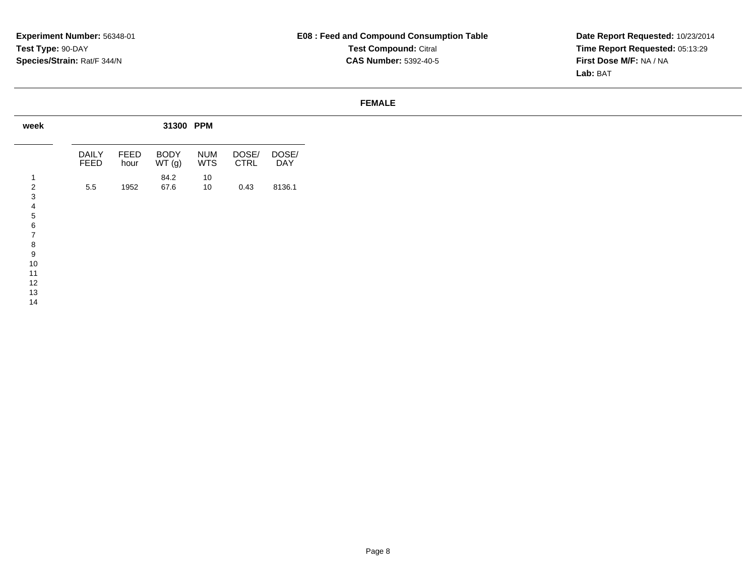**Date Report Requested:** 10/23/2014 **Time Report Requested:** 05:13:29**First Dose M/F:** NA / NA**Lab:** BAT

#### **FEMALE**

| week     |                      |              | 31300 PPM            |                          |                      |              |
|----------|----------------------|--------------|----------------------|--------------------------|----------------------|--------------|
|          | <b>DAILY</b><br>FEED | FEED<br>hour | <b>BODY</b><br>WT(g) | <b>NUM</b><br><b>WTS</b> | DOSE/<br><b>CTRL</b> | DOSE/<br>DAY |
|          |                      |              | 84.2                 | 10                       |                      |              |
|          | 5.5                  | 1952         | 67.6                 | 10 <sup>1</sup>          | 0.43                 | 8136.1       |
|          |                      |              |                      |                          |                      |              |
|          |                      |              |                      |                          |                      |              |
|          |                      |              |                      |                          |                      |              |
|          |                      |              |                      |                          |                      |              |
| ч        |                      |              |                      |                          |                      |              |
| 10       |                      |              |                      |                          |                      |              |
| 11<br>12 |                      |              |                      |                          |                      |              |

 1314